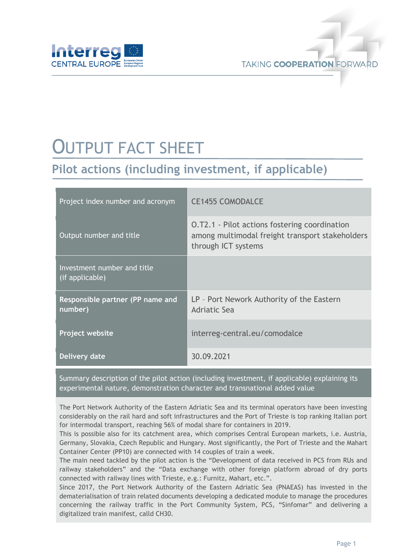

## OUTPUT FACT SHEET

## **Pilot actions (including investment, if applicable)**

| Project index number and acronym                   | <b>CE1455 COMODALCE</b>                                                                                                        |
|----------------------------------------------------|--------------------------------------------------------------------------------------------------------------------------------|
| Output number and title                            | <b>O.T2.1 - Pilot actions fostering coordination</b><br>among multimodal freight transport stakeholders<br>through ICT systems |
| Investment number and title<br>(if applicable)     |                                                                                                                                |
| <b>Responsible partner (PP name and</b><br>number) | LP - Port Nework Authority of the Eastern<br>Adriatic Sea                                                                      |
| Project website                                    | interreg-central.eu/comodalce                                                                                                  |
| Delivery date                                      | 30.09.2021                                                                                                                     |

Summary description of the pilot action (including investment, if applicable) explaining its experimental nature, demonstration character and transnational added value

The Port Network Authority of the Eastern Adriatic Sea and its terminal operators have been investing considerably on the rail hard and soft infrastructures and the Port of Trieste is top ranking Italian port for intermodal transport, reaching 56% of modal share for containers in 2019.

This is possible also for its catchment area, which comprises Central European markets, i.e. Austria, Germany, Slovakia, Czech Republic and Hungary. Most significantly, the Port of Trieste and the Mahart Container Center (PP10) are connected with 14 couples of train a week.

The main need tackled by the pilot action is the "Development of data received in PCS from RUs and railway stakeholders" and the "Data exchange with other foreign platform abroad of dry ports connected with railway lines with Trieste, e.g.: Furnitz, Mahart, etc.".

Since 2017, the Port Network Authority of the Eastern Adriatic Sea (PNAEAS) has invested in the dematerialisation of train related documents developing a dedicated module to manage the procedures concerning the railway traffic in the Port Community System, PCS, "Sinfomar" and delivering a digitalized train manifest, calld CH30.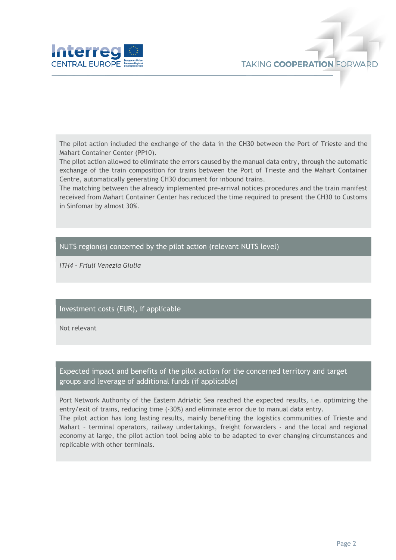

The pilot action included the exchange of the data in the CH30 between the Port of Trieste and the Mahart Container Center (PP10).

The pilot action allowed to eliminate the errors caused by the manual data entry, through the automatic exchange of the train composition for trains between the Port of Trieste and the Mahart Container Centre, automatically generating CH30 document for inbound trains.

The matching between the already implemented pre-arrival notices procedures and the train manifest received from Mahart Container Center has reduced the time required to present the CH30 to Customs in Sinfomar by almost 30%.

## NUTS region(s) concerned by the pilot action (relevant NUTS level)

*ITH4 – Friuli Venezia Giulia*

## Investment costs (EUR), if applicable

Not relevant

Expected impact and benefits of the pilot action for the concerned territory and target groups and leverage of additional funds (if applicable)

Port Network Authority of the Eastern Adriatic Sea reached the expected results, i.e. optimizing the entry/exit of trains, reducing time (-30%) and eliminate error due to manual data entry. The pilot action has long lasting results, mainly benefiting the logistics communities of Trieste and Mahart – terminal operators, railway undertakings, freight forwarders - and the local and regional economy at large, the pilot action tool being able to be adapted to ever changing circumstances and replicable with other terminals.